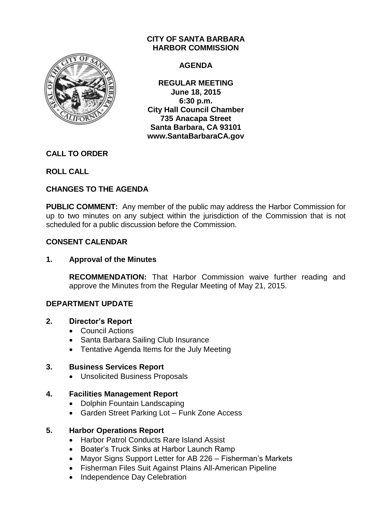

# **CITY OF SANTA BARBARA HARBOR COMMISSION**

#### **AGENDA**

**REGULAR MEETING June 18, 2015 6:30 p.m. City Hall Council Chamber 735 Anacapa Street Santa Barbara, CA 93101 www.SantaBarbaraCA.gov**

# **CALL TO ORDER**

**ROLL CALL**

# **CHANGES TO THE AGENDA**

**PUBLIC COMMENT:** Any member of the public may address the Harbor Commission for up to two minutes on any subject within the jurisdiction of the Commission that is not scheduled for a public discussion before the Commission.

# **CONSENT CALENDAR**

# **1. Approval of the Minutes**

**RECOMMENDATION:** That Harbor Commission waive further reading and approve the Minutes from the Regular Meeting of May 21, 2015.

# **DEPARTMENT UPDATE**

# **2. Director's Report**

- Council Actions
- Santa Barbara Sailing Club Insurance
- Tentative Agenda Items for the July Meeting

# **3. Business Services Report**

Unsolicited Business Proposals

# **4. Facilities Management Report**

- Dolphin Fountain Landscaping
- Garden Street Parking Lot Funk Zone Access

# **5. Harbor Operations Report**

- Harbor Patrol Conducts Rare Island Assist
- Boater's Truck Sinks at Harbor Launch Ramp
- Mayor Signs Support Letter for AB 226 Fisherman's Markets
- Fisherman Files Suit Against Plains All-American Pipeline
- Independence Day Celebration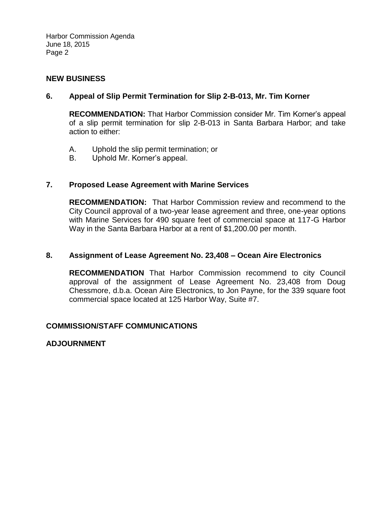Harbor Commission Agenda June 18, 2015 Page 2

#### **NEW BUSINESS**

#### **6. Appeal of Slip Permit Termination for Slip 2-B-013, Mr. Tim Korner**

**RECOMMENDATION:** That Harbor Commission consider Mr. Tim Korner's appeal of a slip permit termination for slip 2-B-013 in Santa Barbara Harbor; and take action to either:

- A. Uphold the slip permit termination; or
- B. Uphold Mr. Korner's appeal.

#### **7. Proposed Lease Agreement with Marine Services**

**RECOMMENDATION:** That Harbor Commission review and recommend to the City Council approval of a two-year lease agreement and three, one-year options with Marine Services for 490 square feet of commercial space at 117-G Harbor Way in the Santa Barbara Harbor at a rent of \$1,200.00 per month.

#### **8. Assignment of Lease Agreement No. 23,408 – Ocean Aire Electronics**

**RECOMMENDATION** That Harbor Commission recommend to city Council approval of the assignment of Lease Agreement No. 23,408 from Doug Chessmore, d.b.a. Ocean Aire Electronics, to Jon Payne, for the 339 square foot commercial space located at 125 Harbor Way, Suite #7.

#### **COMMISSION/STAFF COMMUNICATIONS**

**ADJOURNMENT**